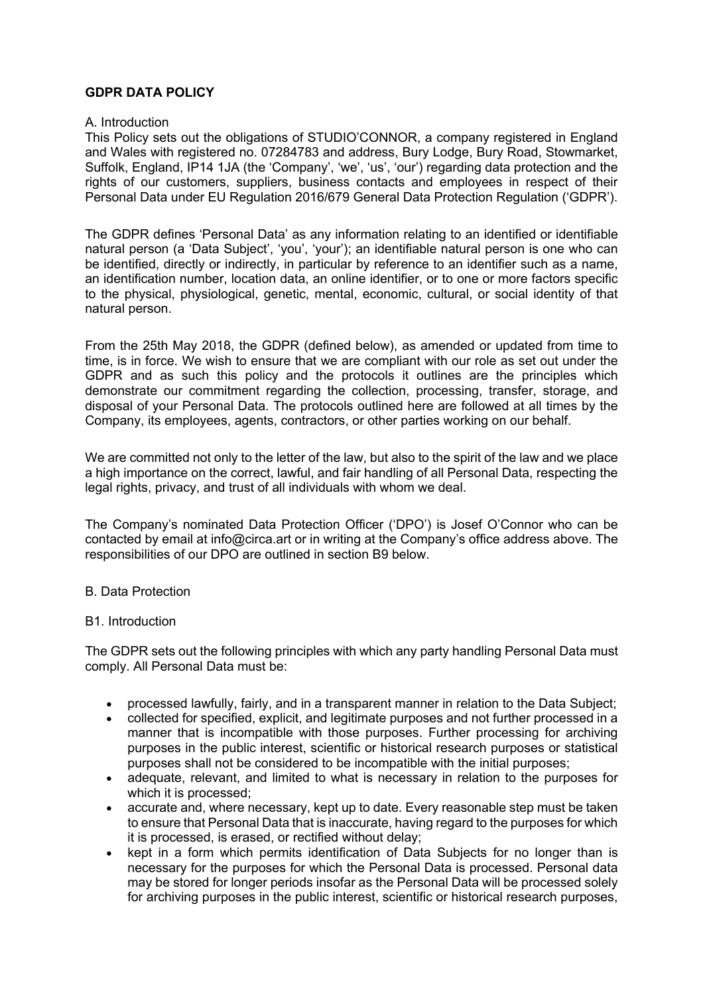## **GDPR DATA POLICY**

### A. Introduction

This Policy sets out the obligations of STUDIO'CONNOR, a company registered in England and Wales with registered no. 07284783 and address, Bury Lodge, Bury Road, Stowmarket, Suffolk, England, IP14 1JA (the 'Company', 'we', 'us', 'our') regarding data protection and the rights of our customers, suppliers, business contacts and employees in respect of their Personal Data under EU Regulation 2016/679 General Data Protection Regulation ('GDPR').

The GDPR defines 'Personal Data' as any information relating to an identified or identifiable natural person (a 'Data Subject', 'you', 'your'); an identifiable natural person is one who can be identified, directly or indirectly, in particular by reference to an identifier such as a name, an identification number, location data, an online identifier, or to one or more factors specific to the physical, physiological, genetic, mental, economic, cultural, or social identity of that natural person.

From the 25th May 2018, the GDPR (defined below), as amended or updated from time to time, is in force. We wish to ensure that we are compliant with our role as set out under the GDPR and as such this policy and the protocols it outlines are the principles which demonstrate our commitment regarding the collection, processing, transfer, storage, and disposal of your Personal Data. The protocols outlined here are followed at all times by the Company, its employees, agents, contractors, or other parties working on our behalf.

We are committed not only to the letter of the law, but also to the spirit of the law and we place a high importance on the correct, lawful, and fair handling of all Personal Data, respecting the legal rights, privacy, and trust of all individuals with whom we deal.

The Company's nominated Data Protection Officer ('DPO') is Josef O'Connor who can be contacted by email at info@circa.art or in writing at the Company's office address above. The responsibilities of our DPO are outlined in section B9 below.

## B. Data Protection

## B1. Introduction

The GDPR sets out the following principles with which any party handling Personal Data must comply. All Personal Data must be:

- processed lawfully, fairly, and in a transparent manner in relation to the Data Subject;
- collected for specified, explicit, and legitimate purposes and not further processed in a manner that is incompatible with those purposes. Further processing for archiving purposes in the public interest, scientific or historical research purposes or statistical purposes shall not be considered to be incompatible with the initial purposes;
- adequate, relevant, and limited to what is necessary in relation to the purposes for which it is processed;
- accurate and, where necessary, kept up to date. Every reasonable step must be taken to ensure that Personal Data that is inaccurate, having regard to the purposes for which it is processed, is erased, or rectified without delay;
- kept in a form which permits identification of Data Subiects for no longer than is necessary for the purposes for which the Personal Data is processed. Personal data may be stored for longer periods insofar as the Personal Data will be processed solely for archiving purposes in the public interest, scientific or historical research purposes,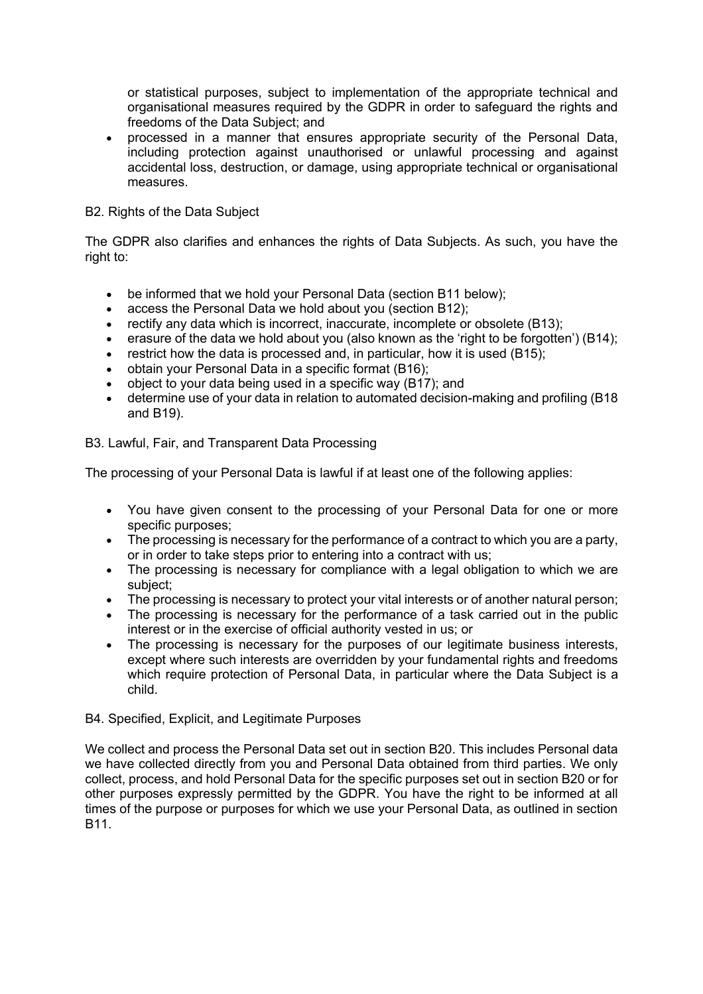or statistical purposes, subject to implementation of the appropriate technical and organisational measures required by the GDPR in order to safeguard the rights and freedoms of the Data Subject; and

• processed in a manner that ensures appropriate security of the Personal Data, including protection against unauthorised or unlawful processing and against accidental loss, destruction, or damage, using appropriate technical or organisational measures.

## B2. Rights of the Data Subject

The GDPR also clarifies and enhances the rights of Data Subjects. As such, you have the right to:

- be informed that we hold your Personal Data (section B11 below);
- access the Personal Data we hold about you (section B12);
- rectify any data which is incorrect, inaccurate, incomplete or obsolete (B13);
- erasure of the data we hold about you (also known as the 'right to be forgotten') (B14);
- restrict how the data is processed and, in particular, how it is used (B15);
- obtain your Personal Data in a specific format (B16);
- object to your data being used in a specific way (B17); and
- determine use of your data in relation to automated decision-making and profiling (B18) and B19).

## B3. Lawful, Fair, and Transparent Data Processing

The processing of your Personal Data is lawful if at least one of the following applies:

- You have given consent to the processing of your Personal Data for one or more specific purposes;
- The processing is necessary for the performance of a contract to which you are a party, or in order to take steps prior to entering into a contract with us;
- The processing is necessary for compliance with a legal obligation to which we are subject;
- The processing is necessary to protect your vital interests or of another natural person;
- The processing is necessary for the performance of a task carried out in the public interest or in the exercise of official authority vested in us; or
- The processing is necessary for the purposes of our legitimate business interests, except where such interests are overridden by your fundamental rights and freedoms which require protection of Personal Data, in particular where the Data Subject is a child.

## B4. Specified, Explicit, and Legitimate Purposes

We collect and process the Personal Data set out in section B20. This includes Personal data we have collected directly from you and Personal Data obtained from third parties. We only collect, process, and hold Personal Data for the specific purposes set out in section B20 or for other purposes expressly permitted by the GDPR. You have the right to be informed at all times of the purpose or purposes for which we use your Personal Data, as outlined in section B11.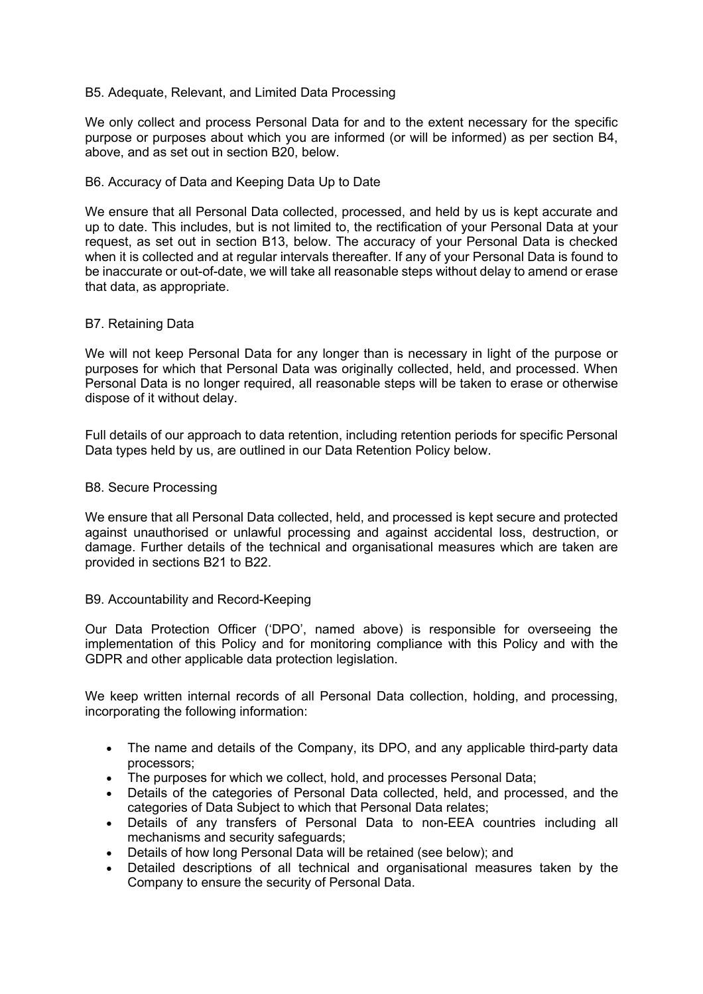### B5. Adequate, Relevant, and Limited Data Processing

We only collect and process Personal Data for and to the extent necessary for the specific purpose or purposes about which you are informed (or will be informed) as per section B4, above, and as set out in section B20, below.

### B6. Accuracy of Data and Keeping Data Up to Date

We ensure that all Personal Data collected, processed, and held by us is kept accurate and up to date. This includes, but is not limited to, the rectification of your Personal Data at your request, as set out in section B13, below. The accuracy of your Personal Data is checked when it is collected and at regular intervals thereafter. If any of your Personal Data is found to be inaccurate or out-of-date, we will take all reasonable steps without delay to amend or erase that data, as appropriate.

### B7. Retaining Data

We will not keep Personal Data for any longer than is necessary in light of the purpose or purposes for which that Personal Data was originally collected, held, and processed. When Personal Data is no longer required, all reasonable steps will be taken to erase or otherwise dispose of it without delay.

Full details of our approach to data retention, including retention periods for specific Personal Data types held by us, are outlined in our Data Retention Policy below.

### B8. Secure Processing

We ensure that all Personal Data collected, held, and processed is kept secure and protected against unauthorised or unlawful processing and against accidental loss, destruction, or damage. Further details of the technical and organisational measures which are taken are provided in sections B21 to B22.

### B9. Accountability and Record-Keeping

Our Data Protection Officer ('DPO', named above) is responsible for overseeing the implementation of this Policy and for monitoring compliance with this Policy and with the GDPR and other applicable data protection legislation.

We keep written internal records of all Personal Data collection, holding, and processing, incorporating the following information:

- The name and details of the Company, its DPO, and any applicable third-party data processors;
- The purposes for which we collect, hold, and processes Personal Data;
- Details of the categories of Personal Data collected, held, and processed, and the categories of Data Subject to which that Personal Data relates;
- Details of any transfers of Personal Data to non-EEA countries including all mechanisms and security safeguards;
- Details of how long Personal Data will be retained (see below); and
- Detailed descriptions of all technical and organisational measures taken by the Company to ensure the security of Personal Data.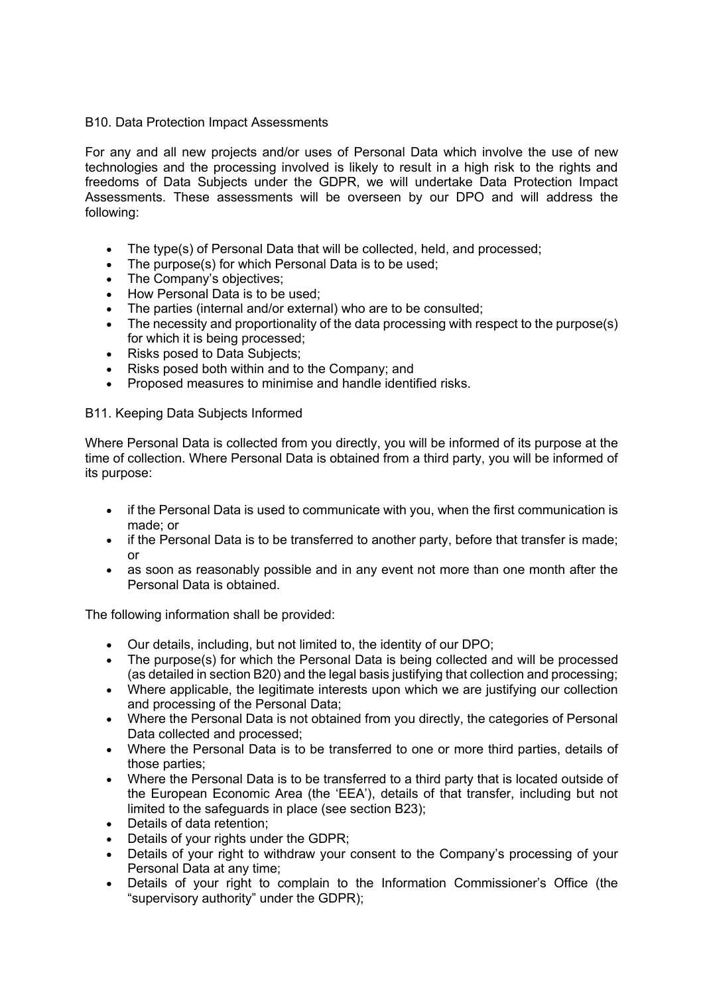## B10. Data Protection Impact Assessments

For any and all new projects and/or uses of Personal Data which involve the use of new technologies and the processing involved is likely to result in a high risk to the rights and freedoms of Data Subjects under the GDPR, we will undertake Data Protection Impact Assessments. These assessments will be overseen by our DPO and will address the following:

- The type(s) of Personal Data that will be collected, held, and processed;
- The purpose(s) for which Personal Data is to be used;
- The Company's objectives:
- How Personal Data is to be used;
- The parties (internal and/or external) who are to be consulted;
- The necessity and proportionality of the data processing with respect to the purpose(s) for which it is being processed;
- Risks posed to Data Subjects;
- Risks posed both within and to the Company; and
- Proposed measures to minimise and handle identified risks.

## B11. Keeping Data Subjects Informed

Where Personal Data is collected from you directly, you will be informed of its purpose at the time of collection. Where Personal Data is obtained from a third party, you will be informed of its purpose:

- if the Personal Data is used to communicate with you, when the first communication is made; or
- if the Personal Data is to be transferred to another party, before that transfer is made; or
- as soon as reasonably possible and in any event not more than one month after the Personal Data is obtained.

The following information shall be provided:

- Our details, including, but not limited to, the identity of our DPO;
- The purpose(s) for which the Personal Data is being collected and will be processed (as detailed in section B20) and the legal basis justifying that collection and processing;
- Where applicable, the legitimate interests upon which we are justifying our collection and processing of the Personal Data;
- Where the Personal Data is not obtained from you directly, the categories of Personal Data collected and processed;
- Where the Personal Data is to be transferred to one or more third parties, details of those parties;
- Where the Personal Data is to be transferred to a third party that is located outside of the European Economic Area (the 'EEA'), details of that transfer, including but not limited to the safeguards in place (see section B23);
- Details of data retention;
- Details of your rights under the GDPR;
- Details of your right to withdraw your consent to the Company's processing of your Personal Data at any time;
- Details of your right to complain to the Information Commissioner's Office (the "supervisory authority" under the GDPR);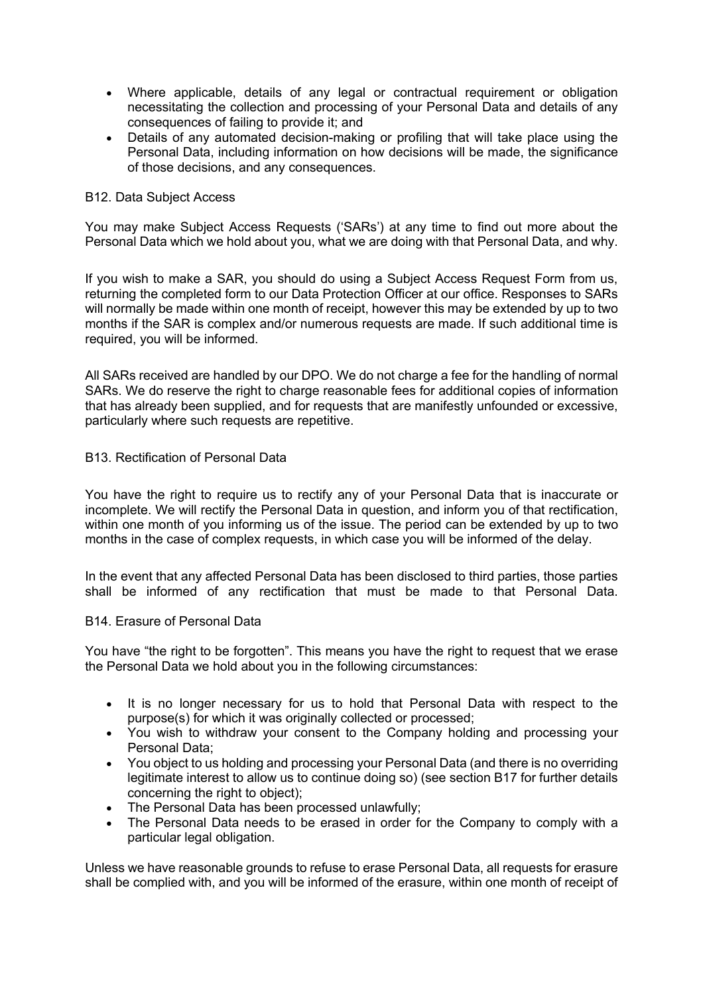- Where applicable, details of any legal or contractual requirement or obligation necessitating the collection and processing of your Personal Data and details of any consequences of failing to provide it; and
- Details of any automated decision-making or profiling that will take place using the Personal Data, including information on how decisions will be made, the significance of those decisions, and any consequences.

### B12. Data Subject Access

You may make Subject Access Requests ('SARs') at any time to find out more about the Personal Data which we hold about you, what we are doing with that Personal Data, and why.

If you wish to make a SAR, you should do using a Subject Access Request Form from us, returning the completed form to our Data Protection Officer at our office. Responses to SARs will normally be made within one month of receipt, however this may be extended by up to two months if the SAR is complex and/or numerous requests are made. If such additional time is required, you will be informed.

All SARs received are handled by our DPO. We do not charge a fee for the handling of normal SARs. We do reserve the right to charge reasonable fees for additional copies of information that has already been supplied, and for requests that are manifestly unfounded or excessive, particularly where such requests are repetitive.

### B13. Rectification of Personal Data

You have the right to require us to rectify any of your Personal Data that is inaccurate or incomplete. We will rectify the Personal Data in question, and inform you of that rectification, within one month of you informing us of the issue. The period can be extended by up to two months in the case of complex requests, in which case you will be informed of the delay.

In the event that any affected Personal Data has been disclosed to third parties, those parties shall be informed of any rectification that must be made to that Personal Data.

### B14. Erasure of Personal Data

You have "the right to be forgotten". This means you have the right to request that we erase the Personal Data we hold about you in the following circumstances:

- It is no longer necessary for us to hold that Personal Data with respect to the purpose(s) for which it was originally collected or processed;
- You wish to withdraw your consent to the Company holding and processing your Personal Data;
- You object to us holding and processing your Personal Data (and there is no overriding legitimate interest to allow us to continue doing so) (see section B17 for further details concerning the right to object);
- The Personal Data has been processed unlawfully;
- The Personal Data needs to be erased in order for the Company to comply with a particular legal obligation.

Unless we have reasonable grounds to refuse to erase Personal Data, all requests for erasure shall be complied with, and you will be informed of the erasure, within one month of receipt of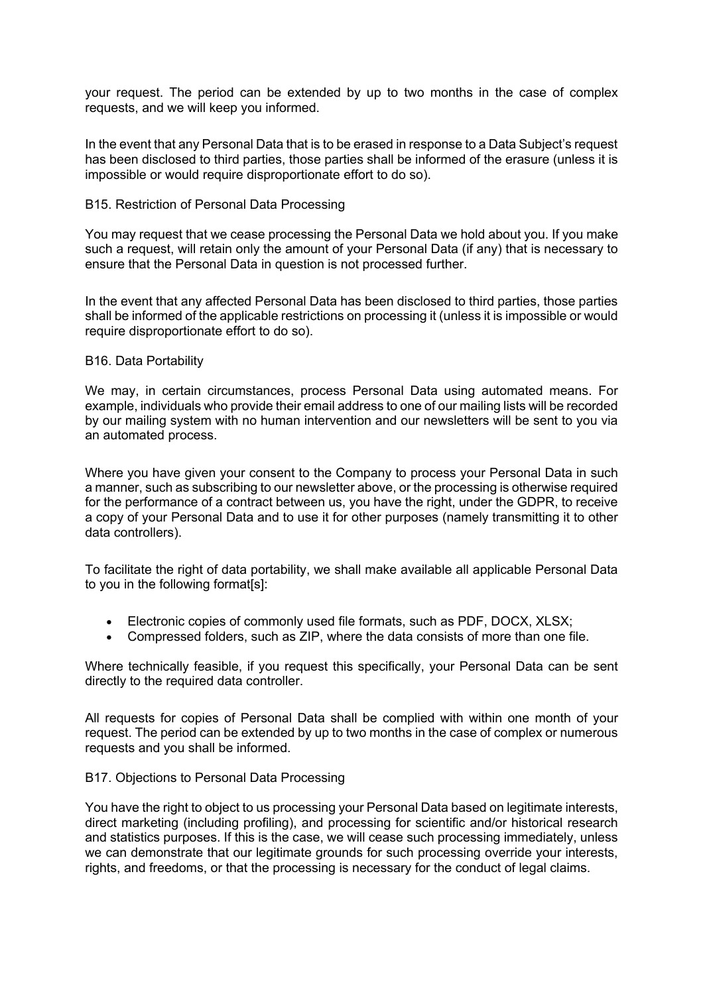your request. The period can be extended by up to two months in the case of complex requests, and we will keep you informed.

In the event that any Personal Data that is to be erased in response to a Data Subject's request has been disclosed to third parties, those parties shall be informed of the erasure (unless it is impossible or would require disproportionate effort to do so).

### B15. Restriction of Personal Data Processing

You may request that we cease processing the Personal Data we hold about you. If you make such a request, will retain only the amount of your Personal Data (if any) that is necessary to ensure that the Personal Data in question is not processed further.

In the event that any affected Personal Data has been disclosed to third parties, those parties shall be informed of the applicable restrictions on processing it (unless it is impossible or would require disproportionate effort to do so).

#### B16. Data Portability

We may, in certain circumstances, process Personal Data using automated means. For example, individuals who provide their email address to one of our mailing lists will be recorded by our mailing system with no human intervention and our newsletters will be sent to you via an automated process.

Where you have given your consent to the Company to process your Personal Data in such a manner, such as subscribing to our newsletter above, or the processing is otherwise required for the performance of a contract between us, you have the right, under the GDPR, to receive a copy of your Personal Data and to use it for other purposes (namely transmitting it to other data controllers).

To facilitate the right of data portability, we shall make available all applicable Personal Data to you in the following format[s]:

- Electronic copies of commonly used file formats, such as PDF, DOCX, XLSX;
- Compressed folders, such as ZIP, where the data consists of more than one file.

Where technically feasible, if you request this specifically, your Personal Data can be sent directly to the required data controller.

All requests for copies of Personal Data shall be complied with within one month of your request. The period can be extended by up to two months in the case of complex or numerous requests and you shall be informed.

### B17. Objections to Personal Data Processing

You have the right to object to us processing your Personal Data based on legitimate interests, direct marketing (including profiling), and processing for scientific and/or historical research and statistics purposes. If this is the case, we will cease such processing immediately, unless we can demonstrate that our legitimate grounds for such processing override your interests, rights, and freedoms, or that the processing is necessary for the conduct of legal claims.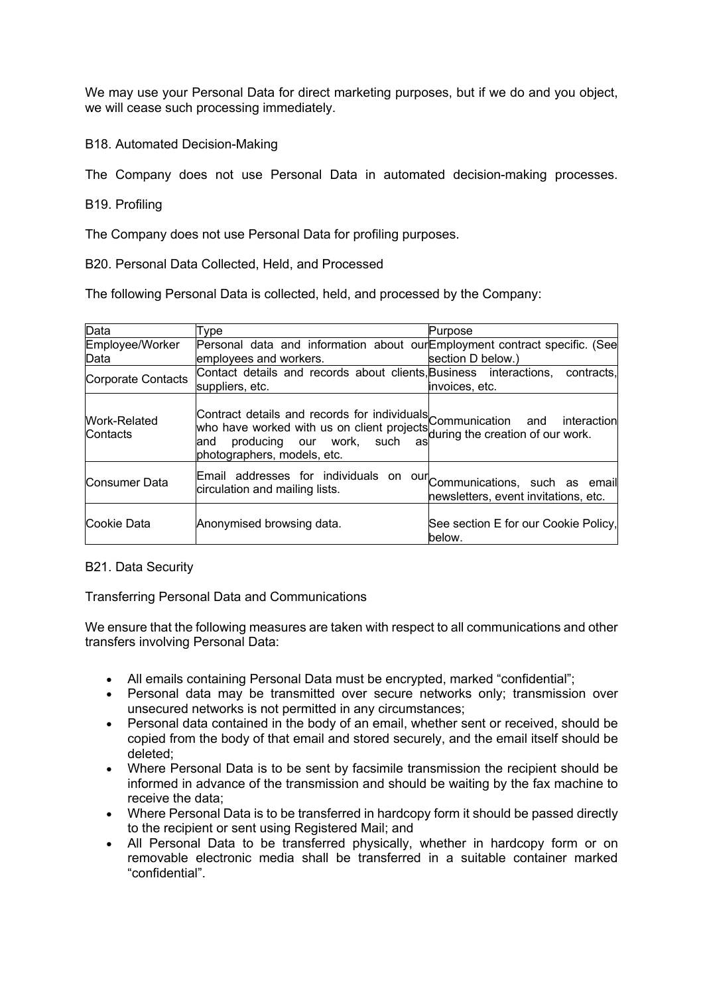We may use your Personal Data for direct marketing purposes, but if we do and you object, we will cease such processing immediately.

B18. Automated Decision-Making

The Company does not use Personal Data in automated decision-making processes.

B19. Profiling

The Company does not use Personal Data for profiling purposes.

B20. Personal Data Collected, Held, and Processed

The following Personal Data is collected, held, and processed by the Company:

| Data                            | Type                                                                                                                                                                                                                        | Purpose                                        |
|---------------------------------|-----------------------------------------------------------------------------------------------------------------------------------------------------------------------------------------------------------------------------|------------------------------------------------|
| Employee/Worker<br>Data         | Personal data and information about ourEmployment contract specific. (See<br>employees and workers.                                                                                                                         | section D below.)                              |
| Corporate Contacts              | Contact details and records about clients, Business interactions,<br>suppliers, etc.                                                                                                                                        | contracts.<br>invoices, etc.                   |
| <b>Work-Related</b><br>Contacts | Contract details and records for individuals<br>who have worked with us on client projects communication and interaction<br>and producing our work, such as during the creation of our work.<br>photographers, models, etc. |                                                |
| Consumer Data                   | Email addresses for individuals on our Communications, such as email<br>circulation and mailing lists.                                                                                                                      | newsletters, event invitations, etc.           |
| Cookie Data                     | Anonymised browsing data.                                                                                                                                                                                                   | See section E for our Cookie Policy,<br>below. |

### B21. Data Security

Transferring Personal Data and Communications

We ensure that the following measures are taken with respect to all communications and other transfers involving Personal Data:

- All emails containing Personal Data must be encrypted, marked "confidential";
- Personal data may be transmitted over secure networks only; transmission over unsecured networks is not permitted in any circumstances;
- Personal data contained in the body of an email, whether sent or received, should be copied from the body of that email and stored securely, and the email itself should be deleted;
- Where Personal Data is to be sent by facsimile transmission the recipient should be informed in advance of the transmission and should be waiting by the fax machine to receive the data;
- Where Personal Data is to be transferred in hardcopy form it should be passed directly to the recipient or sent using Registered Mail; and
- All Personal Data to be transferred physically, whether in hardcopy form or on removable electronic media shall be transferred in a suitable container marked "confidential".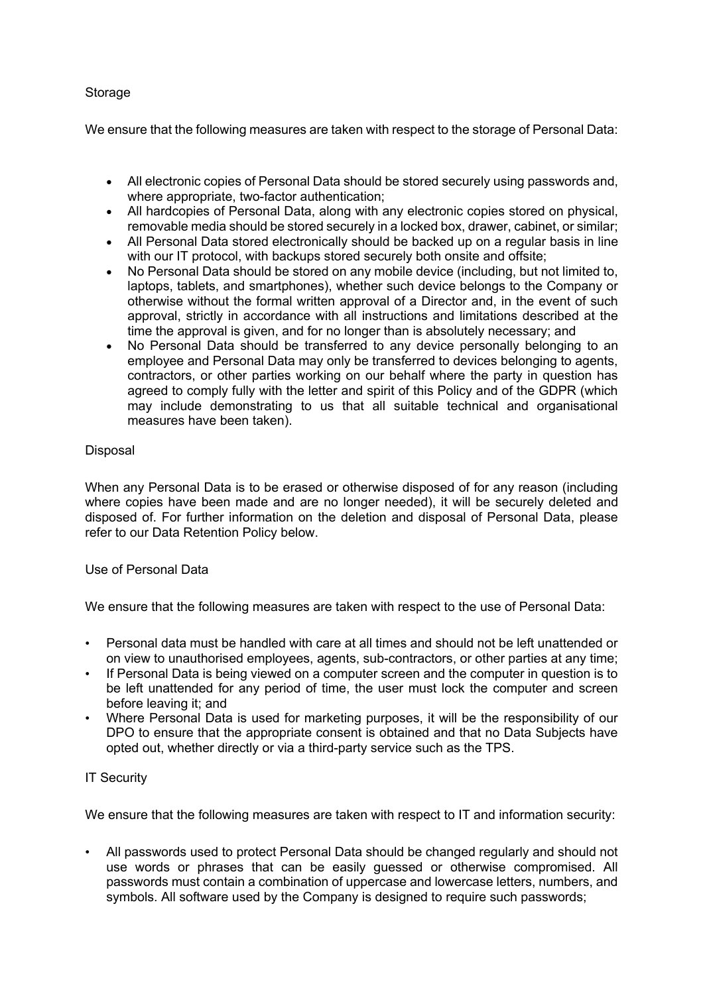## **Storage**

We ensure that the following measures are taken with respect to the storage of Personal Data:

- All electronic copies of Personal Data should be stored securely using passwords and, where appropriate, two-factor authentication;
- All hardcopies of Personal Data, along with any electronic copies stored on physical, removable media should be stored securely in a locked box, drawer, cabinet, or similar;
- All Personal Data stored electronically should be backed up on a regular basis in line with our IT protocol, with backups stored securely both onsite and offsite;
- No Personal Data should be stored on any mobile device (including, but not limited to, laptops, tablets, and smartphones), whether such device belongs to the Company or otherwise without the formal written approval of a Director and, in the event of such approval, strictly in accordance with all instructions and limitations described at the time the approval is given, and for no longer than is absolutely necessary; and
- No Personal Data should be transferred to any device personally belonging to an employee and Personal Data may only be transferred to devices belonging to agents, contractors, or other parties working on our behalf where the party in question has agreed to comply fully with the letter and spirit of this Policy and of the GDPR (which may include demonstrating to us that all suitable technical and organisational measures have been taken).

# **Disposal**

When any Personal Data is to be erased or otherwise disposed of for any reason (including where copies have been made and are no longer needed), it will be securely deleted and disposed of. For further information on the deletion and disposal of Personal Data, please refer to our Data Retention Policy below.

## Use of Personal Data

We ensure that the following measures are taken with respect to the use of Personal Data:

- Personal data must be handled with care at all times and should not be left unattended or on view to unauthorised employees, agents, sub-contractors, or other parties at any time;
- If Personal Data is being viewed on a computer screen and the computer in question is to be left unattended for any period of time, the user must lock the computer and screen before leaving it; and
- Where Personal Data is used for marketing purposes, it will be the responsibility of our DPO to ensure that the appropriate consent is obtained and that no Data Subjects have opted out, whether directly or via a third-party service such as the TPS.

## IT Security

We ensure that the following measures are taken with respect to IT and information security:

• All passwords used to protect Personal Data should be changed regularly and should not use words or phrases that can be easily guessed or otherwise compromised. All passwords must contain a combination of uppercase and lowercase letters, numbers, and symbols. All software used by the Company is designed to require such passwords;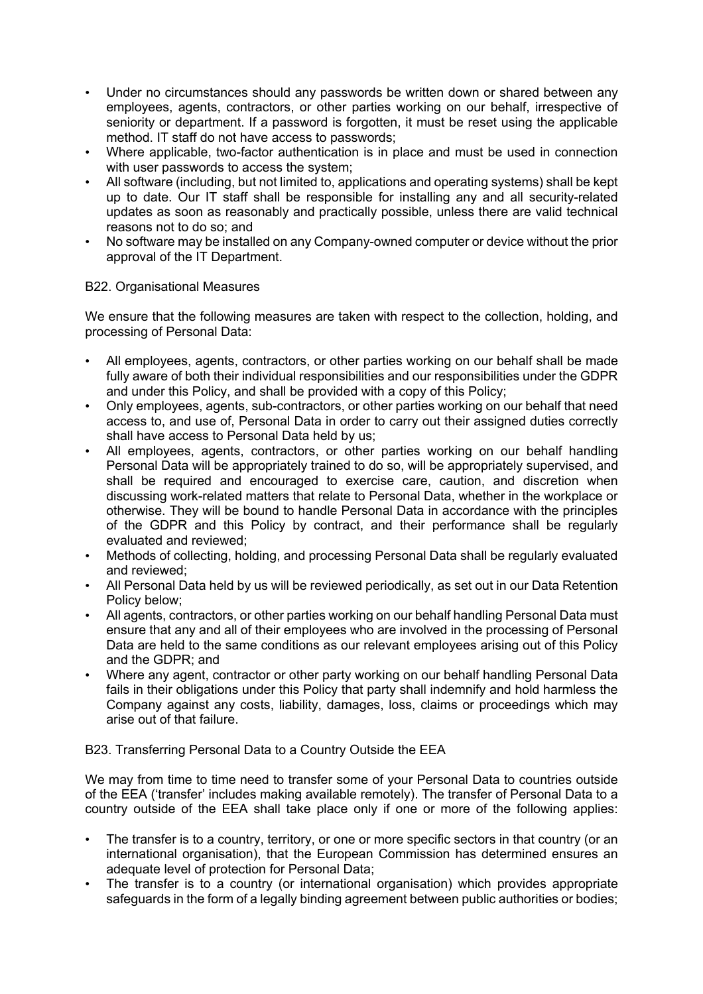- Under no circumstances should any passwords be written down or shared between any employees, agents, contractors, or other parties working on our behalf, irrespective of seniority or department. If a password is forgotten, it must be reset using the applicable method. IT staff do not have access to passwords;
- Where applicable, two-factor authentication is in place and must be used in connection with user passwords to access the system;
- All software (including, but not limited to, applications and operating systems) shall be kept up to date. Our IT staff shall be responsible for installing any and all security-related updates as soon as reasonably and practically possible, unless there are valid technical reasons not to do so; and
- No software may be installed on any Company-owned computer or device without the prior approval of the IT Department.

## B22. Organisational Measures

We ensure that the following measures are taken with respect to the collection, holding, and processing of Personal Data:

- All employees, agents, contractors, or other parties working on our behalf shall be made fully aware of both their individual responsibilities and our responsibilities under the GDPR and under this Policy, and shall be provided with a copy of this Policy;
- Only employees, agents, sub-contractors, or other parties working on our behalf that need access to, and use of, Personal Data in order to carry out their assigned duties correctly shall have access to Personal Data held by us;
- All employees, agents, contractors, or other parties working on our behalf handling Personal Data will be appropriately trained to do so, will be appropriately supervised, and shall be required and encouraged to exercise care, caution, and discretion when discussing work-related matters that relate to Personal Data, whether in the workplace or otherwise. They will be bound to handle Personal Data in accordance with the principles of the GDPR and this Policy by contract, and their performance shall be regularly evaluated and reviewed;
- Methods of collecting, holding, and processing Personal Data shall be regularly evaluated and reviewed;
- All Personal Data held by us will be reviewed periodically, as set out in our Data Retention Policy below;
- All agents, contractors, or other parties working on our behalf handling Personal Data must ensure that any and all of their employees who are involved in the processing of Personal Data are held to the same conditions as our relevant employees arising out of this Policy and the GDPR; and
- Where any agent, contractor or other party working on our behalf handling Personal Data fails in their obligations under this Policy that party shall indemnify and hold harmless the Company against any costs, liability, damages, loss, claims or proceedings which may arise out of that failure.

## B23. Transferring Personal Data to a Country Outside the EEA

We may from time to time need to transfer some of your Personal Data to countries outside of the EEA ('transfer' includes making available remotely). The transfer of Personal Data to a country outside of the EEA shall take place only if one or more of the following applies:

- The transfer is to a country, territory, or one or more specific sectors in that country (or an international organisation), that the European Commission has determined ensures an adequate level of protection for Personal Data;
- The transfer is to a country (or international organisation) which provides appropriate safeguards in the form of a legally binding agreement between public authorities or bodies;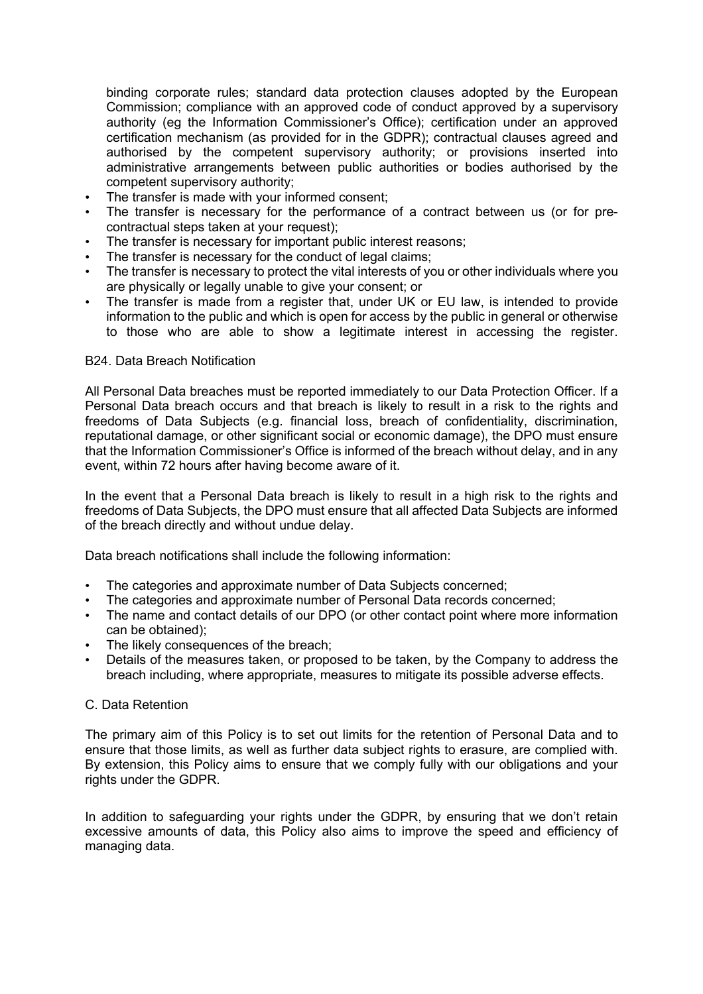binding corporate rules; standard data protection clauses adopted by the European Commission; compliance with an approved code of conduct approved by a supervisory authority (eg the Information Commissioner's Office); certification under an approved certification mechanism (as provided for in the GDPR); contractual clauses agreed and authorised by the competent supervisory authority; or provisions inserted into administrative arrangements between public authorities or bodies authorised by the competent supervisory authority;

- The transfer is made with your informed consent;
- The transfer is necessary for the performance of a contract between us (or for precontractual steps taken at your request);
- The transfer is necessary for important public interest reasons;
- The transfer is necessary for the conduct of legal claims;
- The transfer is necessary to protect the vital interests of you or other individuals where you are physically or legally unable to give your consent; or
- The transfer is made from a register that, under UK or EU law, is intended to provide information to the public and which is open for access by the public in general or otherwise to those who are able to show a legitimate interest in accessing the register.

### B24. Data Breach Notification

All Personal Data breaches must be reported immediately to our Data Protection Officer. If a Personal Data breach occurs and that breach is likely to result in a risk to the rights and freedoms of Data Subjects (e.g. financial loss, breach of confidentiality, discrimination, reputational damage, or other significant social or economic damage), the DPO must ensure that the Information Commissioner's Office is informed of the breach without delay, and in any event, within 72 hours after having become aware of it.

In the event that a Personal Data breach is likely to result in a high risk to the rights and freedoms of Data Subjects, the DPO must ensure that all affected Data Subjects are informed of the breach directly and without undue delay.

Data breach notifications shall include the following information:

- The categories and approximate number of Data Subjects concerned:
- The categories and approximate number of Personal Data records concerned;
- The name and contact details of our DPO (or other contact point where more information can be obtained);
- The likely consequences of the breach;
- Details of the measures taken, or proposed to be taken, by the Company to address the breach including, where appropriate, measures to mitigate its possible adverse effects.

### C. Data Retention

The primary aim of this Policy is to set out limits for the retention of Personal Data and to ensure that those limits, as well as further data subject rights to erasure, are complied with. By extension, this Policy aims to ensure that we comply fully with our obligations and your rights under the GDPR.

In addition to safeguarding your rights under the GDPR, by ensuring that we don't retain excessive amounts of data, this Policy also aims to improve the speed and efficiency of managing data.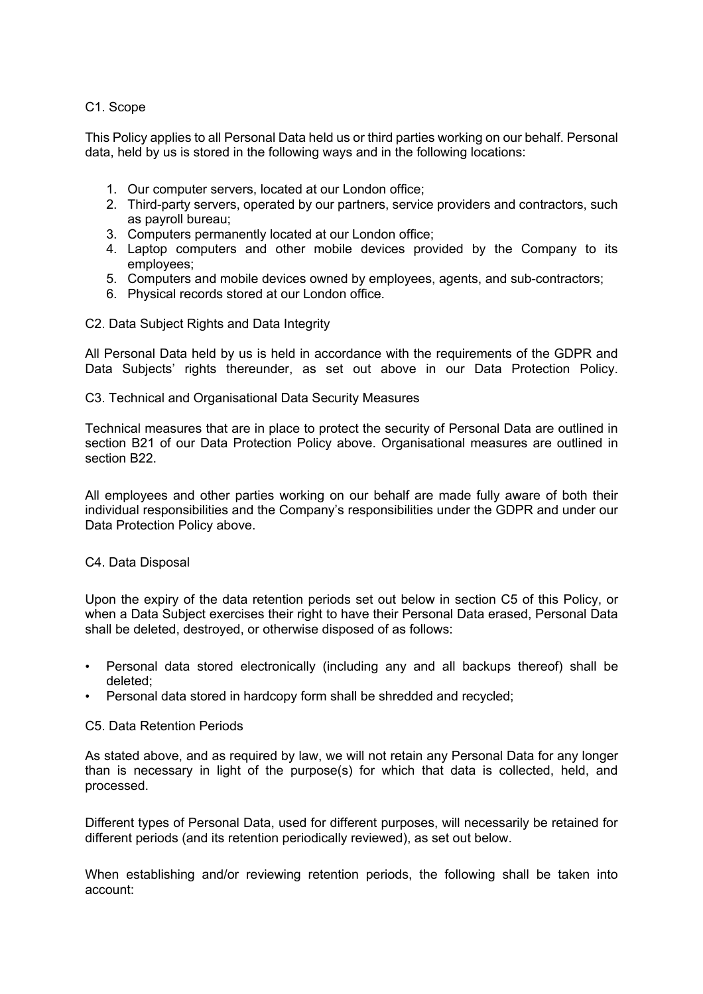## C1. Scope

This Policy applies to all Personal Data held us or third parties working on our behalf. Personal data, held by us is stored in the following ways and in the following locations:

- 1. Our computer servers, located at our London office;
- 2. Third-party servers, operated by our partners, service providers and contractors, such as payroll bureau;
- 3. Computers permanently located at our London office;
- 4. Laptop computers and other mobile devices provided by the Company to its employees;
- 5. Computers and mobile devices owned by employees, agents, and sub-contractors;
- 6. Physical records stored at our London office.
- C2. Data Subject Rights and Data Integrity

All Personal Data held by us is held in accordance with the requirements of the GDPR and Data Subjects' rights thereunder, as set out above in our Data Protection Policy.

C3. Technical and Organisational Data Security Measures

Technical measures that are in place to protect the security of Personal Data are outlined in section B21 of our Data Protection Policy above. Organisational measures are outlined in section B22.

All employees and other parties working on our behalf are made fully aware of both their individual responsibilities and the Company's responsibilities under the GDPR and under our Data Protection Policy above.

### C4. Data Disposal

Upon the expiry of the data retention periods set out below in section C5 of this Policy, or when a Data Subject exercises their right to have their Personal Data erased, Personal Data shall be deleted, destroyed, or otherwise disposed of as follows:

- Personal data stored electronically (including any and all backups thereof) shall be deleted;
- Personal data stored in hardcopy form shall be shredded and recycled;

### C5. Data Retention Periods

As stated above, and as required by law, we will not retain any Personal Data for any longer than is necessary in light of the purpose(s) for which that data is collected, held, and processed.

Different types of Personal Data, used for different purposes, will necessarily be retained for different periods (and its retention periodically reviewed), as set out below.

When establishing and/or reviewing retention periods, the following shall be taken into account: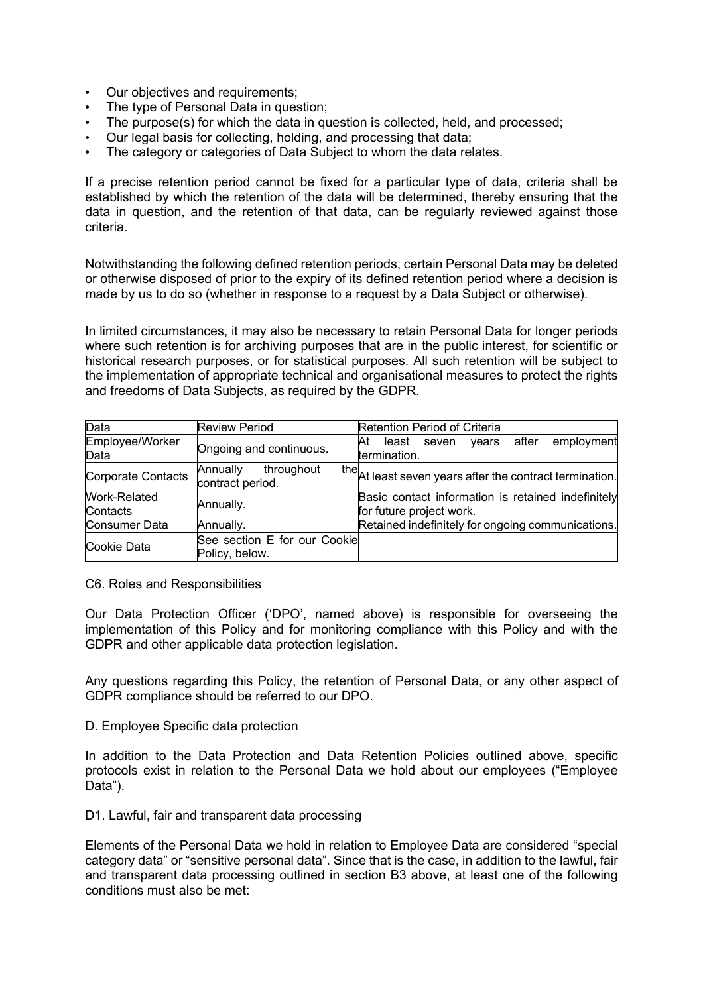- Our objectives and requirements;
- The type of Personal Data in question;
- The purpose(s) for which the data in question is collected, held, and processed;
- Our legal basis for collecting, holding, and processing that data;
- The category or categories of Data Subject to whom the data relates.

If a precise retention period cannot be fixed for a particular type of data, criteria shall be established by which the retention of the data will be determined, thereby ensuring that the data in question, and the retention of that data, can be regularly reviewed against those criteria.

Notwithstanding the following defined retention periods, certain Personal Data may be deleted or otherwise disposed of prior to the expiry of its defined retention period where a decision is made by us to do so (whether in response to a request by a Data Subject or otherwise).

In limited circumstances, it may also be necessary to retain Personal Data for longer periods where such retention is for archiving purposes that are in the public interest, for scientific or historical research purposes, or for statistical purposes. All such retention will be subject to the implementation of appropriate technical and organisational measures to protect the rights and freedoms of Data Subjects, as required by the GDPR.

| Data                            | <b>Review Period</b>                           | Retention Period of Criteria                                                   |
|---------------------------------|------------------------------------------------|--------------------------------------------------------------------------------|
| Employee/Worker<br>Data         | Ongoing and continuous.                        | years after<br>employment<br>Αt<br>least seven<br>termination.                 |
| Corporate Contacts              | Annually<br>throughout<br>contract period.     | the At least seven years after the contract termination.                       |
| <b>Work-Related</b><br>Contacts | Annually.                                      | Basic contact information is retained indefinitely<br>for future project work. |
| <b>Consumer Data</b>            | Annually.                                      | Retained indefinitely for ongoing communications.                              |
| Cookie Data                     | See section E for our Cookie<br>Policy, below. |                                                                                |

C6. Roles and Responsibilities

Our Data Protection Officer ('DPO', named above) is responsible for overseeing the implementation of this Policy and for monitoring compliance with this Policy and with the GDPR and other applicable data protection legislation.

Any questions regarding this Policy, the retention of Personal Data, or any other aspect of GDPR compliance should be referred to our DPO.

D. Employee Specific data protection

In addition to the Data Protection and Data Retention Policies outlined above, specific protocols exist in relation to the Personal Data we hold about our employees ("Employee Data").

D1. Lawful, fair and transparent data processing

Elements of the Personal Data we hold in relation to Employee Data are considered "special category data" or "sensitive personal data". Since that is the case, in addition to the lawful, fair and transparent data processing outlined in section B3 above, at least one of the following conditions must also be met: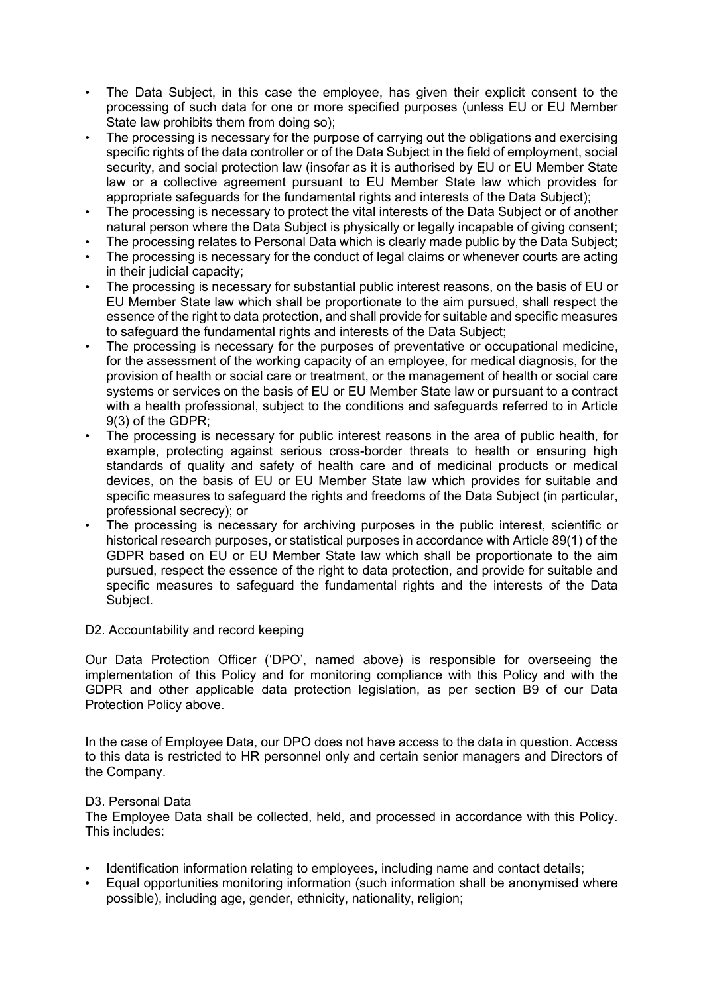- The Data Subject, in this case the employee, has given their explicit consent to the processing of such data for one or more specified purposes (unless EU or EU Member State law prohibits them from doing so);
- The processing is necessary for the purpose of carrying out the obligations and exercising specific rights of the data controller or of the Data Subject in the field of employment, social security, and social protection law (insofar as it is authorised by EU or EU Member State law or a collective agreement pursuant to EU Member State law which provides for appropriate safeguards for the fundamental rights and interests of the Data Subject);
- The processing is necessary to protect the vital interests of the Data Subject or of another natural person where the Data Subject is physically or legally incapable of giving consent;
- The processing relates to Personal Data which is clearly made public by the Data Subject;
- The processing is necessary for the conduct of legal claims or whenever courts are acting in their judicial capacity;
- The processing is necessary for substantial public interest reasons, on the basis of EU or EU Member State law which shall be proportionate to the aim pursued, shall respect the essence of the right to data protection, and shall provide for suitable and specific measures to safeguard the fundamental rights and interests of the Data Subject:
- The processing is necessary for the purposes of preventative or occupational medicine, for the assessment of the working capacity of an employee, for medical diagnosis, for the provision of health or social care or treatment, or the management of health or social care systems or services on the basis of EU or EU Member State law or pursuant to a contract with a health professional, subject to the conditions and safeguards referred to in Article 9(3) of the GDPR;
- The processing is necessary for public interest reasons in the area of public health, for example, protecting against serious cross-border threats to health or ensuring high standards of quality and safety of health care and of medicinal products or medical devices, on the basis of EU or EU Member State law which provides for suitable and specific measures to safeguard the rights and freedoms of the Data Subject (in particular, professional secrecy); or
- The processing is necessary for archiving purposes in the public interest, scientific or historical research purposes, or statistical purposes in accordance with Article 89(1) of the GDPR based on EU or EU Member State law which shall be proportionate to the aim pursued, respect the essence of the right to data protection, and provide for suitable and specific measures to safeguard the fundamental rights and the interests of the Data Subject.

### D2. Accountability and record keeping

Our Data Protection Officer ('DPO', named above) is responsible for overseeing the implementation of this Policy and for monitoring compliance with this Policy and with the GDPR and other applicable data protection legislation, as per section B9 of our Data Protection Policy above.

In the case of Employee Data, our DPO does not have access to the data in question. Access to this data is restricted to HR personnel only and certain senior managers and Directors of the Company.

### D3. Personal Data

The Employee Data shall be collected, held, and processed in accordance with this Policy. This includes:

- Identification information relating to employees, including name and contact details;
- Equal opportunities monitoring information (such information shall be anonymised where possible), including age, gender, ethnicity, nationality, religion;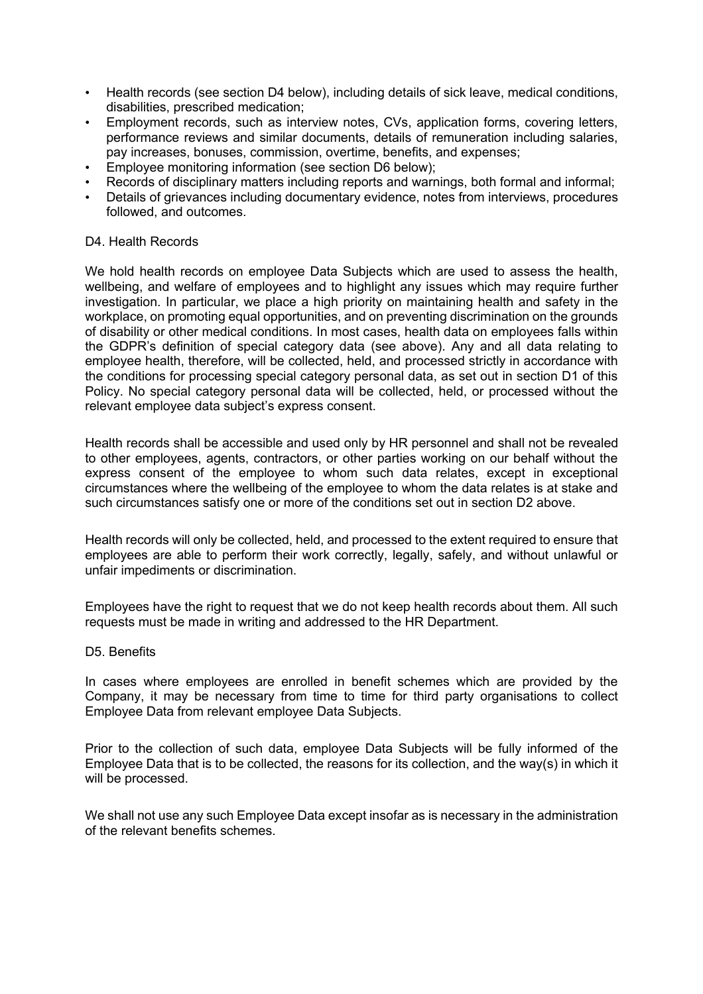- Health records (see section D4 below), including details of sick leave, medical conditions, disabilities, prescribed medication;
- Employment records, such as interview notes, CVs, application forms, covering letters, performance reviews and similar documents, details of remuneration including salaries, pay increases, bonuses, commission, overtime, benefits, and expenses;
- Employee monitoring information (see section D6 below);
- Records of disciplinary matters including reports and warnings, both formal and informal;
- Details of grievances including documentary evidence, notes from interviews, procedures followed, and outcomes.

### D<sub>4</sub> Health Records

We hold health records on employee Data Subjects which are used to assess the health, wellbeing, and welfare of employees and to highlight any issues which may require further investigation. In particular, we place a high priority on maintaining health and safety in the workplace, on promoting equal opportunities, and on preventing discrimination on the grounds of disability or other medical conditions. In most cases, health data on employees falls within the GDPR's definition of special category data (see above). Any and all data relating to employee health, therefore, will be collected, held, and processed strictly in accordance with the conditions for processing special category personal data, as set out in section D1 of this Policy. No special category personal data will be collected, held, or processed without the relevant employee data subject's express consent.

Health records shall be accessible and used only by HR personnel and shall not be revealed to other employees, agents, contractors, or other parties working on our behalf without the express consent of the employee to whom such data relates, except in exceptional circumstances where the wellbeing of the employee to whom the data relates is at stake and such circumstances satisfy one or more of the conditions set out in section D2 above.

Health records will only be collected, held, and processed to the extent required to ensure that employees are able to perform their work correctly, legally, safely, and without unlawful or unfair impediments or discrimination.

Employees have the right to request that we do not keep health records about them. All such requests must be made in writing and addressed to the HR Department.

### D5. Benefits

In cases where employees are enrolled in benefit schemes which are provided by the Company, it may be necessary from time to time for third party organisations to collect Employee Data from relevant employee Data Subjects.

Prior to the collection of such data, employee Data Subjects will be fully informed of the Employee Data that is to be collected, the reasons for its collection, and the way(s) in which it will be processed.

We shall not use any such Employee Data except insofar as is necessary in the administration of the relevant benefits schemes.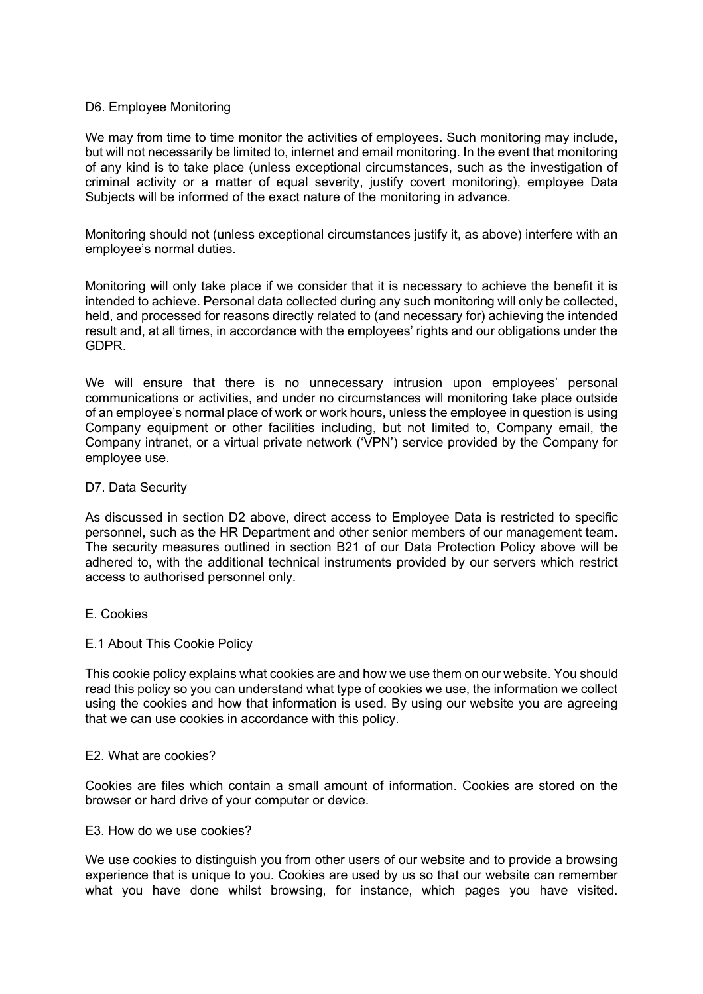### D6. Employee Monitoring

We may from time to time monitor the activities of employees. Such monitoring may include, but will not necessarily be limited to, internet and email monitoring. In the event that monitoring of any kind is to take place (unless exceptional circumstances, such as the investigation of criminal activity or a matter of equal severity, justify covert monitoring), employee Data Subjects will be informed of the exact nature of the monitoring in advance.

Monitoring should not (unless exceptional circumstances justify it, as above) interfere with an employee's normal duties.

Monitoring will only take place if we consider that it is necessary to achieve the benefit it is intended to achieve. Personal data collected during any such monitoring will only be collected, held, and processed for reasons directly related to (and necessary for) achieving the intended result and, at all times, in accordance with the employees' rights and our obligations under the GDPR.

We will ensure that there is no unnecessary intrusion upon employees' personal communications or activities, and under no circumstances will monitoring take place outside of an employee's normal place of work or work hours, unless the employee in question is using Company equipment or other facilities including, but not limited to, Company email, the Company intranet, or a virtual private network ('VPN') service provided by the Company for employee use.

### D7. Data Security

As discussed in section D2 above, direct access to Employee Data is restricted to specific personnel, such as the HR Department and other senior members of our management team. The security measures outlined in section B21 of our Data Protection Policy above will be adhered to, with the additional technical instruments provided by our servers which restrict access to authorised personnel only.

E. Cookies

### E.1 About This Cookie Policy

This cookie policy explains what cookies are and how we use them on our website. You should read this policy so you can understand what type of cookies we use, the information we collect using the cookies and how that information is used. By using our website you are agreeing that we can use cookies in accordance with this policy.

### E2. What are cookies?

Cookies are files which contain a small amount of information. Cookies are stored on the browser or hard drive of your computer or device.

### E3. How do we use cookies?

We use cookies to distinguish you from other users of our website and to provide a browsing experience that is unique to you. Cookies are used by us so that our website can remember what you have done whilst browsing, for instance, which pages you have visited.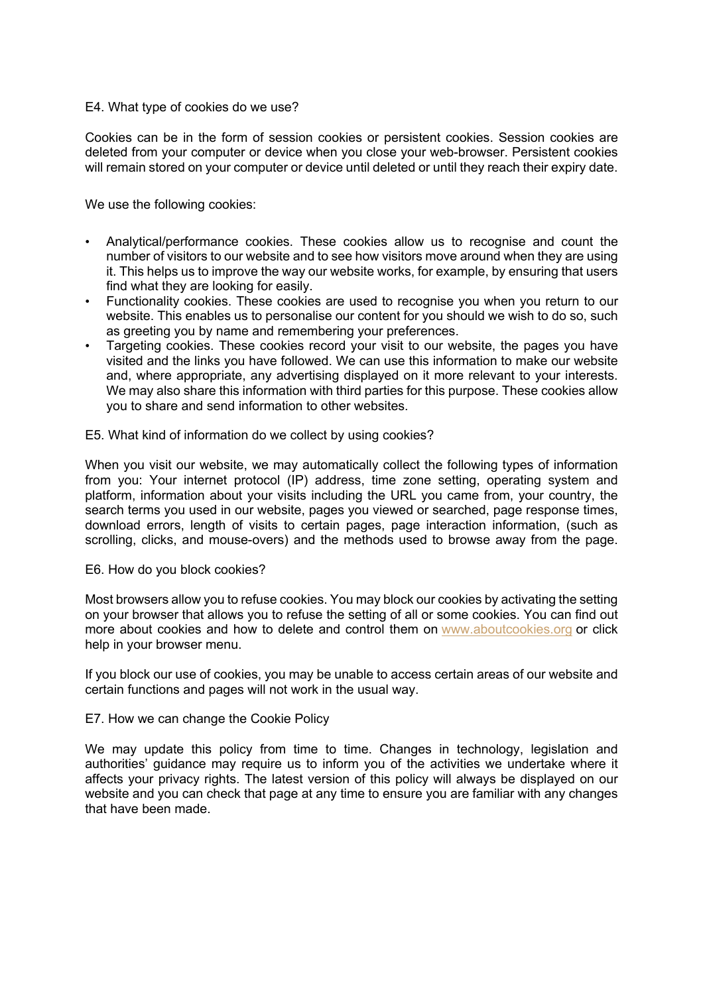### E4. What type of cookies do we use?

Cookies can be in the form of session cookies or persistent cookies. Session cookies are deleted from your computer or device when you close your web-browser. Persistent cookies will remain stored on your computer or device until deleted or until they reach their expiry date.

We use the following cookies:

- Analytical/performance cookies. These cookies allow us to recognise and count the number of visitors to our website and to see how visitors move around when they are using it. This helps us to improve the way our website works, for example, by ensuring that users find what they are looking for easily.
- Functionality cookies. These cookies are used to recognise you when you return to our website. This enables us to personalise our content for you should we wish to do so, such as greeting you by name and remembering your preferences.
- Targeting cookies. These cookies record your visit to our website, the pages you have visited and the links you have followed. We can use this information to make our website and, where appropriate, any advertising displayed on it more relevant to your interests. We may also share this information with third parties for this purpose. These cookies allow you to share and send information to other websites.

E5. What kind of information do we collect by using cookies?

When you visit our website, we may automatically collect the following types of information from you: Your internet protocol (IP) address, time zone setting, operating system and platform, information about your visits including the URL you came from, your country, the search terms you used in our website, pages you viewed or searched, page response times, download errors, length of visits to certain pages, page interaction information, (such as scrolling, clicks, and mouse-overs) and the methods used to browse away from the page.

### E6. How do you block cookies?

Most browsers allow you to refuse cookies. You may block our cookies by activating the setting on your browser that allows you to refuse the setting of all or some cookies. You can find out more about cookies and how to delete and control them on www.aboutcookies.org or click help in your browser menu.

If you block our use of cookies, you may be unable to access certain areas of our website and certain functions and pages will not work in the usual way.

E7. How we can change the Cookie Policy

We may update this policy from time to time. Changes in technology, legislation and authorities' guidance may require us to inform you of the activities we undertake where it affects your privacy rights. The latest version of this policy will always be displayed on our website and you can check that page at any time to ensure you are familiar with any changes that have been made.